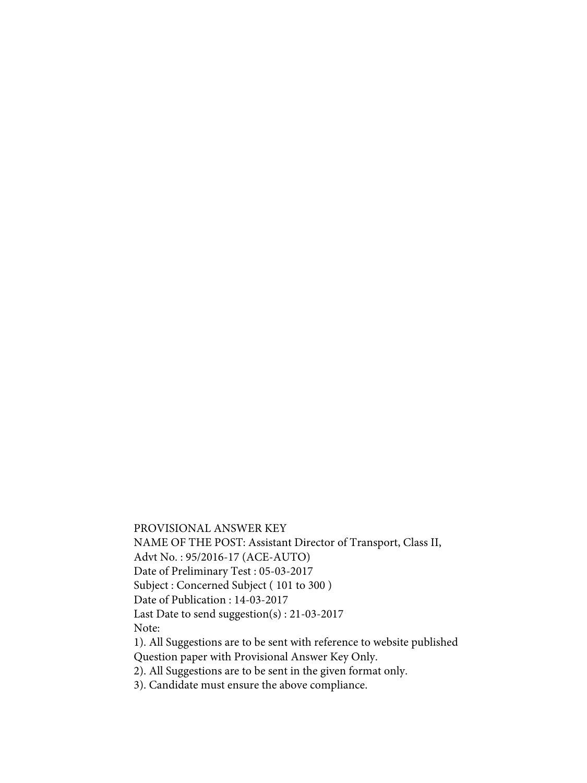PROVISIONAL ANSWER KEY NAME OF THE POST: Assistant Director of Transport, Class II, Advt No. : 95/2016-17 (ACE-AUTO) Date of Preliminary Test : 05-03-2017 Subject : Concerned Subject ( 101 to 300 ) Date of Publication : 14-03-2017 Last Date to send suggestion(s) : 21-03-2017 Note: 1). All Suggestions are to be sent with reference to website published Question paper with Provisional Answer Key Only.

2). All Suggestions are to be sent in the given format only.

3). Candidate must ensure the above compliance.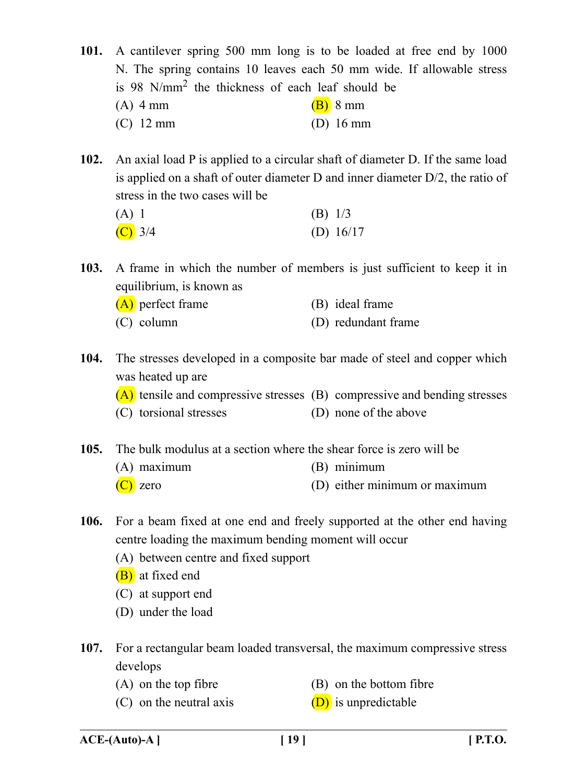**101.** A cantilever spring 500 mm long is to be loaded at free end by 1000 N. The spring contains 10 leaves each 50 mm wide. If allowable stress is 98 N/mm2 the thickness of each leaf should be (A) 4 mm (B) 8 mm (C) 12 mm (D) 16 mm

**102.** An axial load P is applied to a circular shaft of diameter D. If the same load is applied on a shaft of outer diameter D and inner diameter D/2, the ratio of stress in the two cases will be

| $(A)$ 1            | $(B)$ 1/3   |
|--------------------|-------------|
| $\overline{C}$ 3/4 | (D) $16/17$ |

**103.** A frame in which the number of members is just sufficient to keep it in equilibrium, is known as

|  | $(A)$ perfect frame | (B) ideal frame |
|--|---------------------|-----------------|
|--|---------------------|-----------------|

- (C) column (D) redundant frame
- **104.** The stresses developed in a composite bar made of steel and copper which was heated up are
	- (A) tensile and compressive stresses (B) compressive and bending stresses
	- (C) torsional stresses (D) none of the above
- **105.** The bulk modulus at a section where the shear force is zero will be
	- (A) maximum (B) minimum
	- (C) zero (D) either minimum or maximum
- 
- **106.** For a beam fixed at one end and freely supported at the other end having centre loading the maximum bending moment will occur
	- (A) between centre and fixed support
	- (B) at fixed end
	- (C) at support end
	- (D) under the load
- **107.** For a rectangular beam loaded transversal, the maximum compressive stress develops
	-
	- (A) on the top fibre (B) on the bottom fibre
	- (C) on the neutral axis  $(D)$  is unpredictable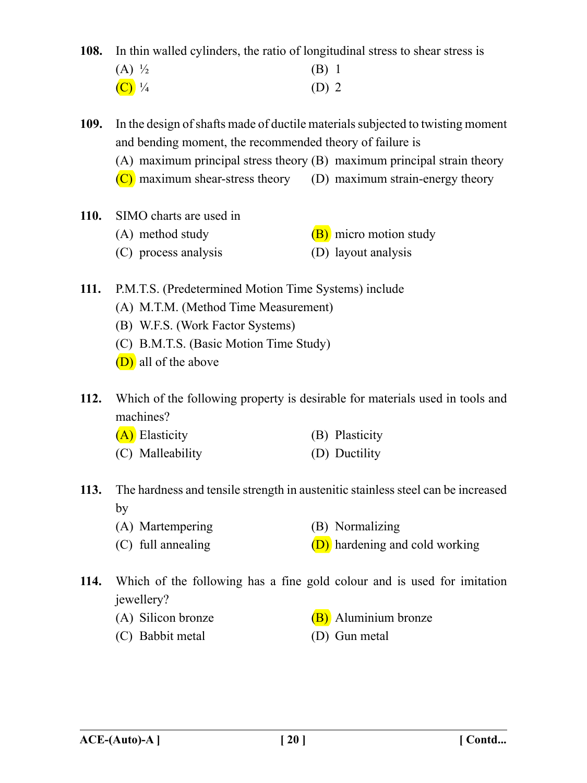**108.** In thin walled cylinders, the ratio of longitudinal stress to shear stress is

| $(A) \frac{1}{2}$   | $(B)$ 1 |  |
|---------------------|---------|--|
| $(C)$ $\frac{1}{4}$ | $(D)$ 2 |  |

**109.** In the design of shafts made of ductile materials subjected to twisting moment and bending moment, the recommended theory of failure is

(A) maximum principal stress theory (B) maximum principal strain theory

- $(C)$  maximum shear-stress theory (D) maximum strain-energy theory
- **110.** SIMO charts are used in
	- (A) method study  $(B)$  micro motion study
	- (C) process analysis (D) layout analysis
- **111.** P.M.T.S. (Predetermined Motion Time Systems) include
	- (A) M.T.M. (Method Time Measurement)
	- (B) W.F.S. (Work Factor Systems)
	- (C) B.M.T.S. (Basic Motion Time Study)
	- (D) all of the above

**112.** Which of the following property is desirable for materials used in tools and machines?

- (A) Elasticity (B) Plasticity
- (C) Malleability (D) Ductility
- **113.** The hardness and tensile strength in austenitic stainless steel can be increased by
	- (A) Martempering (B) Normalizing
	- (C) full annealing  $(D)$  hardening and cold working
- **114.** Which of the following has a fine gold colour and is used for imitation jewellery?
	-
	- (C) Babbit metal (D) Gun metal
	- (A) Silicon bronze  $(B)$  Aluminium bronze
		-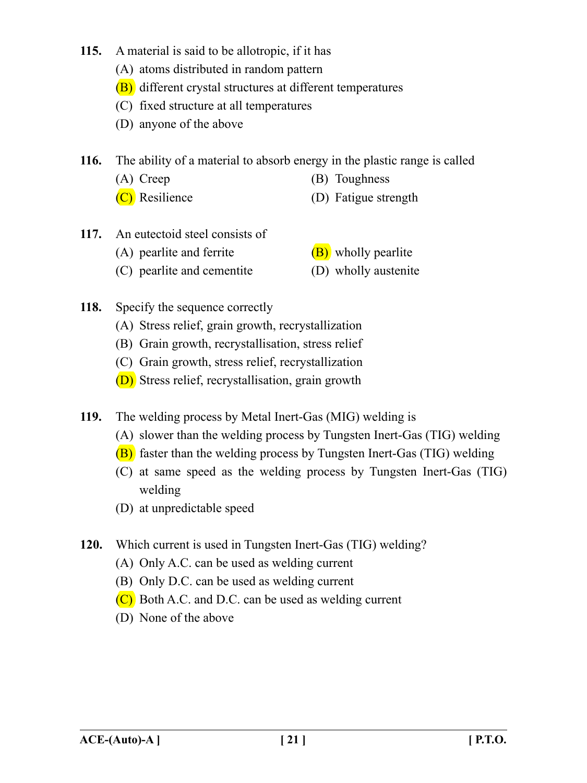- **115.** A material is said to be allotropic, if it has
	- (A) atoms distributed in random pattern
	- (B) different crystal structures at different temperatures
	- (C) fixed structure at all temperatures
	- (D) anyone of the above

**116.** The ability of a material to absorb energy in the plastic range is called

- (A) Creep (B) Toughness
- (C) Resilience (D) Fatigue strength
- **117.** An eutectoid steel consists of
	- (A) pearlite and ferrite  $(B)$  wholly pearlite
	- (C) pearlite and cementite (D) wholly austenite
- 
- 
- **118.** Specify the sequence correctly
	- (A) Stress relief, grain growth, recrystallization
	- (B) Grain growth, recrystallisation, stress relief
	- (C) Grain growth, stress relief, recrystallization
	- (D) Stress relief, recrystallisation, grain growth

**119.** The welding process by Metal Inert-Gas (MIG) welding is

- (A) slower than the welding process by Tungsten Inert-Gas (TIG) welding
- (B) faster than the welding process by Tungsten Inert-Gas (TIG) welding
- (C) at same speed as the welding process by Tungsten Inert-Gas (TIG) welding
- (D) at unpredictable speed
- **120.** Which current is used in Tungsten Inert-Gas (TIG) welding?
	- (A) Only A.C. can be used as welding current
	- (B) Only D.C. can be used as welding current
	- $(C)$  Both A.C. and D.C. can be used as welding current
	- (D) None of the above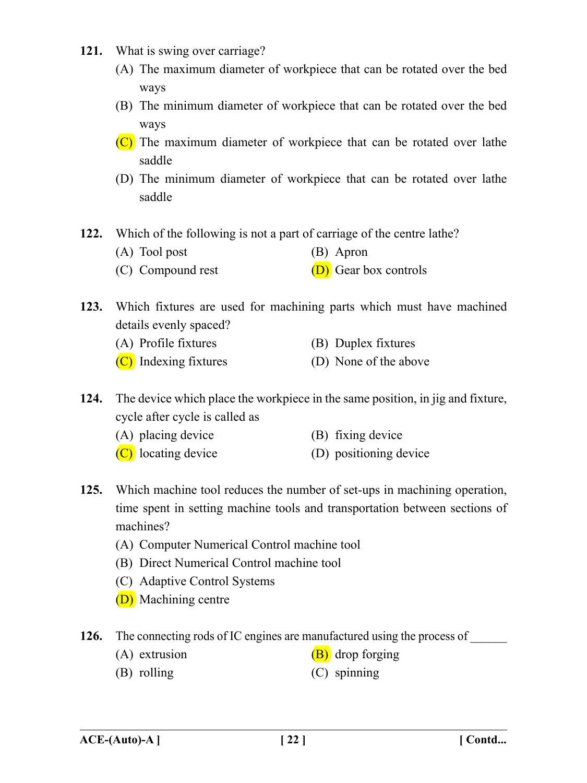- **121.** What is swing over carriage?
	- (A) The maximum diameter of workpiece that can be rotated over the bed ways
	- (B) The minimum diameter of workpiece that can be rotated over the bed ways
	- $(C)$  The maximum diameter of workpiece that can be rotated over lathe saddle
	- (D) The minimum diameter of workpiece that can be rotated over lathe saddle
- **122.** Which of the following is not a part of carriage of the centre lathe?
	- (A) Tool post (B) Apron
	- (C) Compound rest  $(D)$  Gear box controls
- **123.** Which fixtures are used for machining parts which must have machined details evenly spaced?
	- (A) Profile fixtures (B) Duplex fixtures
	- (C) Indexing fixtures (D) None of the above
- **124.** The device which place the workpiece in the same position, in jig and fixture, cycle after cycle is called as
	- (A) placing device (B) fixing device
	- (C) locating device (D) positioning device
- **125.** Which machine tool reduces the number of set-ups in machining operation, time spent in setting machine tools and transportation between sections of machines?
	- (A) Computer Numerical Control machine tool
	- (B) Direct Numerical Control machine tool
	- (C) Adaptive Control Systems
	- (D) Machining centre
- **126.** The connecting rods of IC engines are manufactured using the process of
	- (A) extrusion  $(B)$  drop forging
	- (B) rolling (C) spinning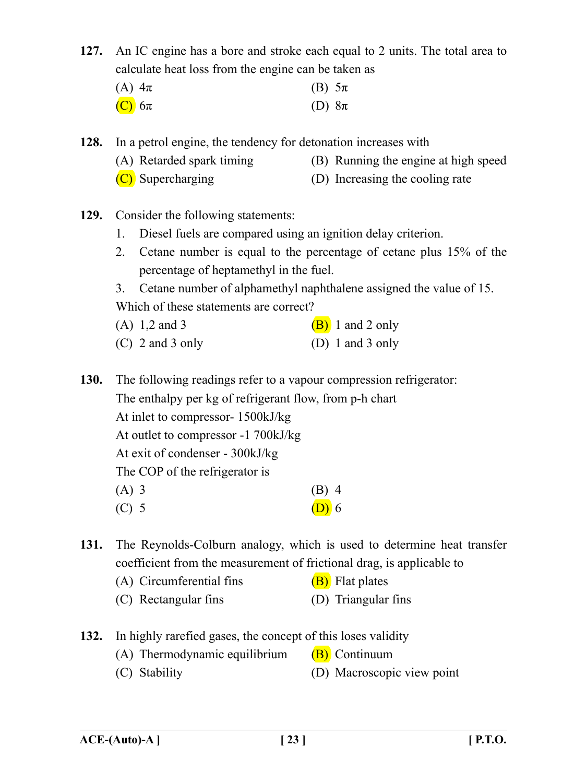**127.** An IC engine has a bore and stroke each equal to 2 units. The total area to calculate heat loss from the engine can be taken as

| (A) $4\pi$    | (B) $5\pi$ |  |
|---------------|------------|--|
| $(C)$ 6 $\pi$ | (D) $8\pi$ |  |

**128.** In a petrol engine, the tendency for detonation increases with

- (A) Retarded spark timing (B) Running the engine at high speed
- (C) Supercharging (D) Increasing the cooling rate
- **129.** Consider the following statements:
	- 1. Diesel fuels are compared using an ignition delay criterion.
	- 2. Cetane number is equal to the percentage of cetane plus 15% of the percentage of heptamethyl in the fuel.

3. Cetane number of alphamethyl naphthalene assigned the value of 15. Which of these statements are correct?

- (A)  $1,2$  and 3 (B) 1 and 2 only
- (C) 2 and 3 only (D) 1 and 3 only

**130.** The following readings refer to a vapour compression refrigerator: The enthalpy per kg of refrigerant flow, from p-h chart At inlet to compressor- 1500kJ/kg At outlet to compressor -1 700kJ/kg At exit of condenser - 300kJ/kg The COP of the refrigerator is  $(A)$  3 (B) 4 (C) 5 (D) 6

**131.** The Reynolds-Colburn analogy, which is used to determine heat transfer coefficient from the measurement of frictional drag, is applicable to

- (A) Circumferential fins  $(B)$  Flat plates
- (C) Rectangular fins (D) Triangular fins
- **132.** In highly rarefied gases, the concept of this loses validity
	- (A) Thermodynamic equilibrium  $(B)$  Continuum
	- (C) Stability (D) Macroscopic view point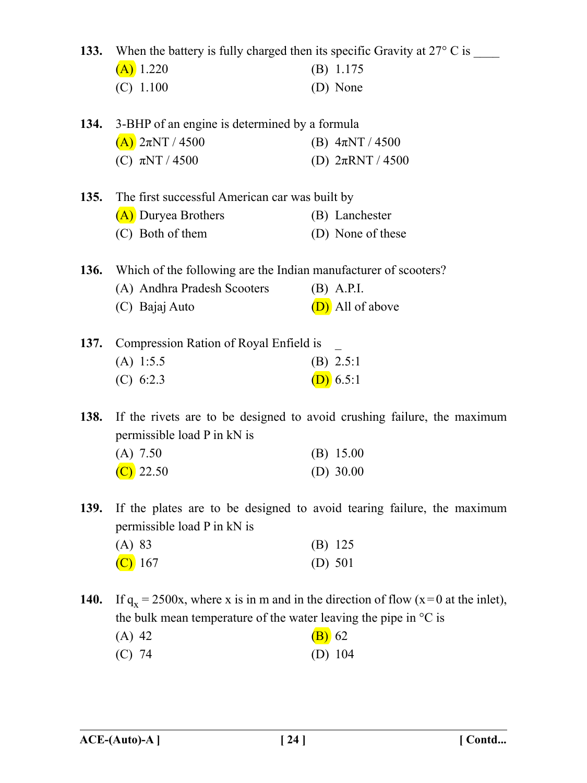|             | 133. When the battery is fully charged then its specific Gravity at $27^{\circ}$ C is $\overline{\phantom{a}}$ |                                                                                     |
|-------------|----------------------------------------------------------------------------------------------------------------|-------------------------------------------------------------------------------------|
|             | $(A)$ 1.220                                                                                                    | $(B)$ 1.175                                                                         |
|             | $(C)$ 1.100                                                                                                    | (D) None                                                                            |
|             |                                                                                                                |                                                                                     |
| 134.        | 3-BHP of an engine is determined by a formula                                                                  |                                                                                     |
|             | $(A)$ 2πNT / 4500                                                                                              | (B) $4\pi NT / 4500$                                                                |
|             | (C) $\pi NT / 4500$                                                                                            | (D) $2\pi RNT / 4500$                                                               |
| 135.        | The first successful American car was built by                                                                 |                                                                                     |
|             | (A) Duryea Brothers                                                                                            | (B) Lanchester                                                                      |
|             | (C) Both of them                                                                                               | (D) None of these                                                                   |
|             |                                                                                                                |                                                                                     |
|             | 136. Which of the following are the Indian manufacturer of scooters?                                           |                                                                                     |
|             | (A) Andhra Pradesh Scooters                                                                                    | $(B)$ A.P.I.                                                                        |
|             | (C) Bajaj Auto                                                                                                 | (D) All of above                                                                    |
| 137.        | Compression Ration of Royal Enfield is                                                                         |                                                                                     |
|             | $(A)$ 1:5.5                                                                                                    | (B) 2.5:1                                                                           |
|             | (C) 6:2.3                                                                                                      | (D) 6.5:1                                                                           |
| 138.        | If the rivets are to be designed to avoid crushing failure, the maximum<br>permissible load P in kN is         |                                                                                     |
|             | $(A)$ 7.50                                                                                                     | $(B)$ 15.00                                                                         |
|             | $\left( \text{C} \right)$ 22.50                                                                                | (D) $30.00$                                                                         |
| 139.        | permissible load P in kN is                                                                                    | If the plates are to be designed to avoid tearing failure, the maximum              |
|             | (A) 83                                                                                                         | $(B)$ 125                                                                           |
|             | $\left\langle C\right\rangle$ 167                                                                              | (D) $501$                                                                           |
| <b>140.</b> |                                                                                                                | If $q_x = 2500x$ , where x is in m and in the direction of flow (x=0 at the inlet), |
|             | the bulk mean temperature of the water leaving the pipe in $\mathrm{C}$ is                                     |                                                                                     |
|             | $(A)$ 42                                                                                                       | $(B)$ 62                                                                            |
|             | $(C)$ 74                                                                                                       | (D) $104$                                                                           |
|             |                                                                                                                |                                                                                     |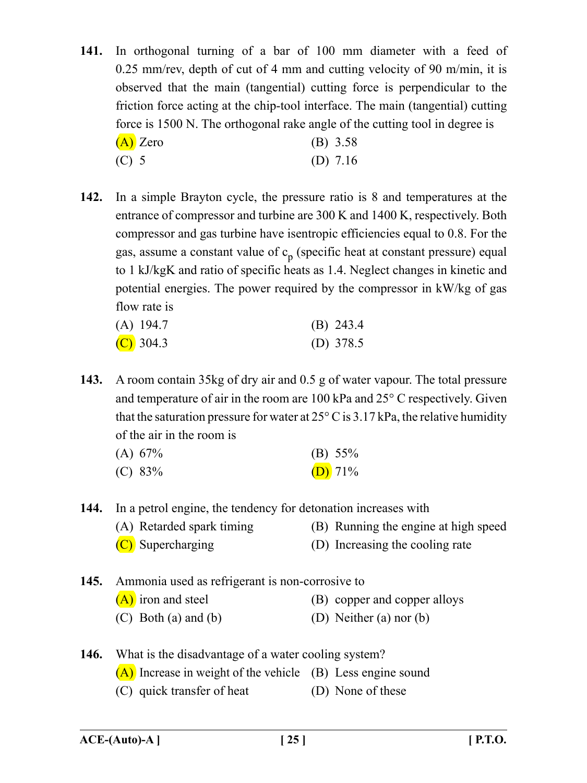- **141.** In orthogonal turning of a bar of 100 mm diameter with a feed of 0.25 mm/rev, depth of cut of 4 mm and cutting velocity of 90 m/min, it is observed that the main (tangential) cutting force is perpendicular to the friction force acting at the chip-tool interface. The main (tangential) cutting force is 1500 N. The orthogonal rake angle of the cutting tool in degree is  $(A)$  Zero (B) 3.58 (C) 5 (D) 7.16
- **142.** In a simple Brayton cycle, the pressure ratio is 8 and temperatures at the entrance of compressor and turbine are 300 K and 1400 K, respectively. Both compressor and gas turbine have isentropic efficiencies equal to 0.8. For the gas, assume a constant value of  $c_p$  (specific heat at constant pressure) equal to 1 kJ/kgK and ratio of specific heats as 1.4. Neglect changes in kinetic and potential energies. The power required by the compressor in kW/kg of gas flow rate is

| $(A)$ 194.7 | $(B)$ 243.4 |
|-------------|-------------|
| $(C)$ 304.3 | (D) $378.5$ |

**143.** A room contain 35kg of dry air and 0.5 g of water vapour. The total pressure and temperature of air in the room are 100 kPa and 25° C respectively. Given that the saturation pressure for water at  $25^{\circ}$  C is 3.17 kPa, the relative humidity of the air in the room is

| (A) 67% | (B) $55\%$ |
|---------|------------|
| (C) 83% | (D) $71\%$ |

**144.** In a petrol engine, the tendency for detonation increases with

- (A) Retarded spark timing (B) Running the engine at high speed
	-
- 
- (C) Supercharging (D) Increasing the cooling rate
- **145.** Ammonia used as refrigerant is non-corrosive to
	- $(A)$  iron and steel  $(B)$  copper and copper alloys
	- (C) Both (a) and (b)  $(D)$  Neither (a) nor (b)
- **146.** What is the disadvantage of a water cooling system?
	- (A) Increase in weight of the vehicle (B) Less engine sound
	- (C) quick transfer of heat (D) None of these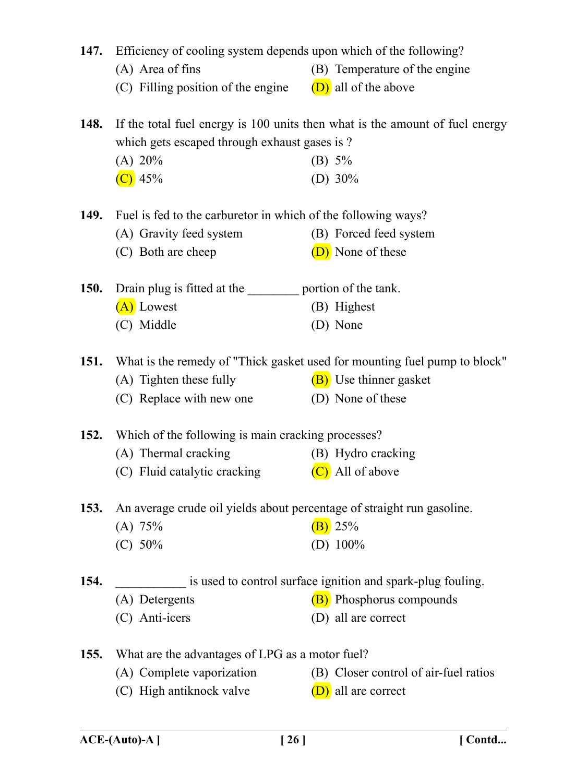| 147.        | Efficiency of cooling system depends upon which of the following?      |                                                                              |
|-------------|------------------------------------------------------------------------|------------------------------------------------------------------------------|
|             | (A) Area of fins                                                       | (B) Temperature of the engine                                                |
|             | (C) Filling position of the engine                                     | (D) all of the above                                                         |
| <b>148.</b> |                                                                        | If the total fuel energy is 100 units then what is the amount of fuel energy |
|             | which gets escaped through exhaust gases is?                           |                                                                              |
|             | (A) 20%                                                                | (B) $5\%$                                                                    |
|             | $(C)$ 45%                                                              | (D) $30\%$                                                                   |
| 149.        | Fuel is fed to the carburetor in which of the following ways?          |                                                                              |
|             | (A) Gravity feed system                                                | (B) Forced feed system                                                       |
|             | (C) Both are cheep                                                     | (D) None of these                                                            |
| <b>150.</b> | Drain plug is fitted at the ___________ portion of the tank.           |                                                                              |
|             | (A) Lowest                                                             | (B) Highest                                                                  |
|             | (C) Middle                                                             | (D) None                                                                     |
|             |                                                                        |                                                                              |
| <b>151.</b> |                                                                        | What is the remedy of "Thick gasket used for mounting fuel pump to block"    |
|             | (A) Tighten these fully                                                | (B) Use thinner gasket                                                       |
|             | (C) Replace with new one                                               | (D) None of these                                                            |
| <b>152.</b> | Which of the following is main cracking processes?                     |                                                                              |
|             | (A) Thermal cracking                                                   | (B) Hydro cracking                                                           |
|             | (C) Fluid catalytic cracking                                           | (C) All of above                                                             |
| <b>153.</b> | An average crude oil yields about percentage of straight run gasoline. |                                                                              |
|             | (A) 75%                                                                | (B) 25%                                                                      |
|             | (C) 50%                                                                | (D) $100\%$                                                                  |
|             |                                                                        |                                                                              |
| 154.        |                                                                        | is used to control surface ignition and spark-plug fouling.                  |
|             | (A) Detergents                                                         | <b>(B)</b> Phosphorus compounds                                              |
|             | (C) Anti-icers                                                         | (D) all are correct                                                          |
| <b>155.</b> | What are the advantages of LPG as a motor fuel?                        |                                                                              |
|             | (A) Complete vaporization                                              | (B) Closer control of air-fuel ratios                                        |
|             | (C) High antiknock valve                                               | (D) all are correct                                                          |
|             |                                                                        |                                                                              |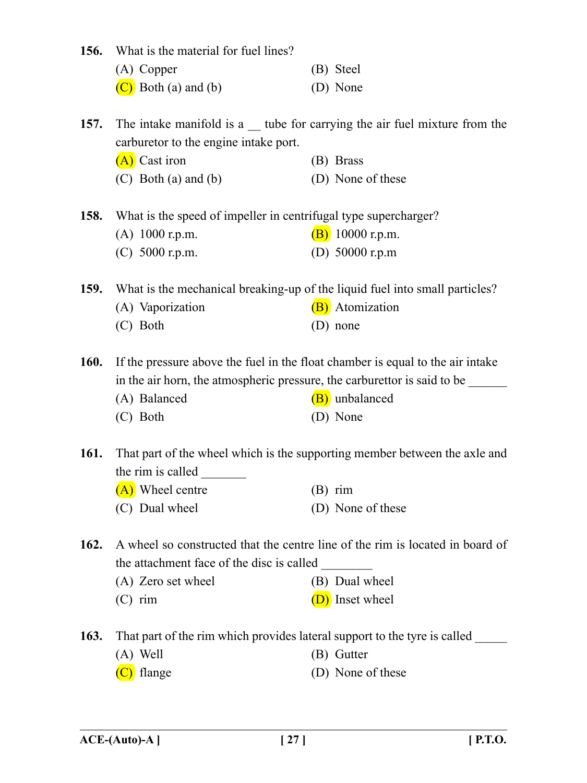| 156.        | What is the material for fuel lines?                            |                                                                                   |
|-------------|-----------------------------------------------------------------|-----------------------------------------------------------------------------------|
|             | (A) Copper                                                      | (B) Steel                                                                         |
|             | $(C)$ Both (a) and (b)                                          | (D) None                                                                          |
|             |                                                                 |                                                                                   |
| 157.        |                                                                 | The intake manifold is a $\equiv$ tube for carrying the air fuel mixture from the |
|             | carburetor to the engine intake port.                           |                                                                                   |
|             | (A) Cast iron                                                   | (B) Brass                                                                         |
|             | $(C)$ Both $(a)$ and $(b)$                                      | (D) None of these                                                                 |
| 158.        | What is the speed of impeller in centrifugal type supercharger? |                                                                                   |
|             | $(A)$ 1000 r.p.m.                                               | $(B)$ 10000 r.p.m.                                                                |
|             | (C) 5000 r.p.m.                                                 | (D) $50000$ r.p.m                                                                 |
|             |                                                                 |                                                                                   |
| <b>159.</b> |                                                                 | What is the mechanical breaking-up of the liquid fuel into small particles?       |
|             | (A) Vaporization                                                | (B) Atomization                                                                   |
|             | (C) Both                                                        | (D) none                                                                          |
| 160.        |                                                                 | If the pressure above the fuel in the float chamber is equal to the air intake    |
|             |                                                                 | in the air horn, the atmospheric pressure, the carburettor is said to be          |
|             | (A) Balanced                                                    | (B) unbalanced                                                                    |
|             | (C) Both                                                        | (D) None                                                                          |
|             |                                                                 |                                                                                   |
| <b>161.</b> |                                                                 | That part of the wheel which is the supporting member between the axle and        |
|             | the rim is called                                               |                                                                                   |
|             | (A) Wheel centre                                                | $(B)$ rim                                                                         |
|             | (C) Dual wheel                                                  | (D) None of these                                                                 |
| 162.        |                                                                 | A wheel so constructed that the centre line of the rim is located in board of     |
|             | the attachment face of the disc is called                       |                                                                                   |
|             | (A) Zero set wheel                                              | (B) Dual wheel                                                                    |
|             | $(C)$ rim                                                       | (D) Inset wheel                                                                   |
|             |                                                                 |                                                                                   |
| 163.        |                                                                 | That part of the rim which provides lateral support to the tyre is called         |
|             | $(A)$ Well                                                      | (B) Gutter                                                                        |
|             | (C) flange                                                      | (D) None of these                                                                 |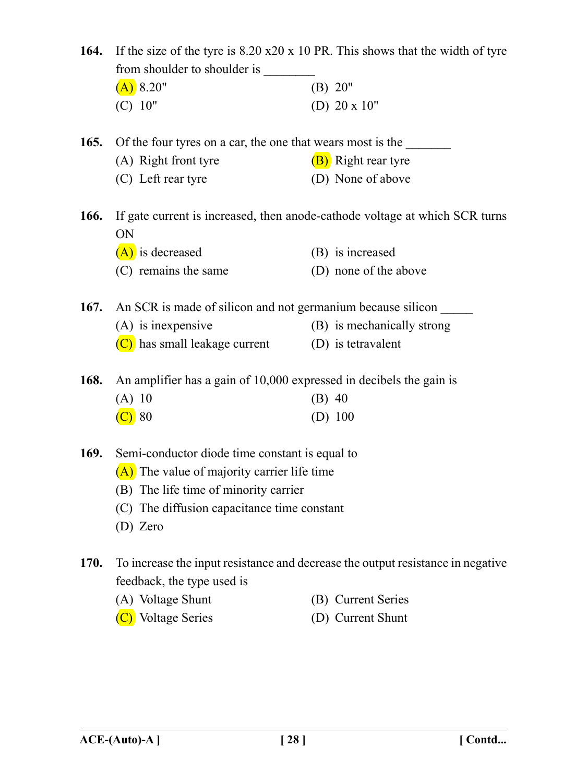|             | 164. If the size of the tyre is 8.20 x20 x 10 PR. This shows that the width of tyre |                                                                                 |
|-------------|-------------------------------------------------------------------------------------|---------------------------------------------------------------------------------|
|             | (A) 8.20"                                                                           | (B) 20"                                                                         |
|             | (C) 10"                                                                             | (D) $20 \times 10$ "                                                            |
| 165.        | Of the four tyres on a car, the one that wears most is the                          |                                                                                 |
|             | (A) Right front tyre                                                                | (B) Right rear tyre                                                             |
|             | (C) Left rear tyre                                                                  | (D) None of above                                                               |
| <b>166.</b> | ON                                                                                  | If gate current is increased, then anode-cathode voltage at which SCR turns     |
|             | $(A)$ is decreased                                                                  | (B) is increased                                                                |
|             | (C) remains the same                                                                | (D) none of the above                                                           |
| 167.        | An SCR is made of silicon and not germanium because silicon                         |                                                                                 |
|             | $(A)$ is inexpensive                                                                | (B) is mechanically strong                                                      |
|             | $(C)$ has small leakage current (D) is tetravalent                                  |                                                                                 |
| 168.        | An amplifier has a gain of 10,000 expressed in decibels the gain is                 |                                                                                 |
|             | (A) 10                                                                              | $(B)$ 40                                                                        |
|             | $\left($ C) 80                                                                      | $(D)$ 100                                                                       |
| 169.        | Semi-conductor diode time constant is equal to                                      |                                                                                 |
|             | (A) The value of majority carrier life time                                         |                                                                                 |
|             | (B) The life time of minority carrier                                               |                                                                                 |
|             | (C) The diffusion capacitance time constant                                         |                                                                                 |
|             | (D) Zero                                                                            |                                                                                 |
| 170.        | feedback, the type used is                                                          | To increase the input resistance and decrease the output resistance in negative |
|             | (A) Voltage Shunt                                                                   | (B) Current Series                                                              |
|             | (C) Voltage Series                                                                  | (D) Current Shunt                                                               |
|             |                                                                                     |                                                                                 |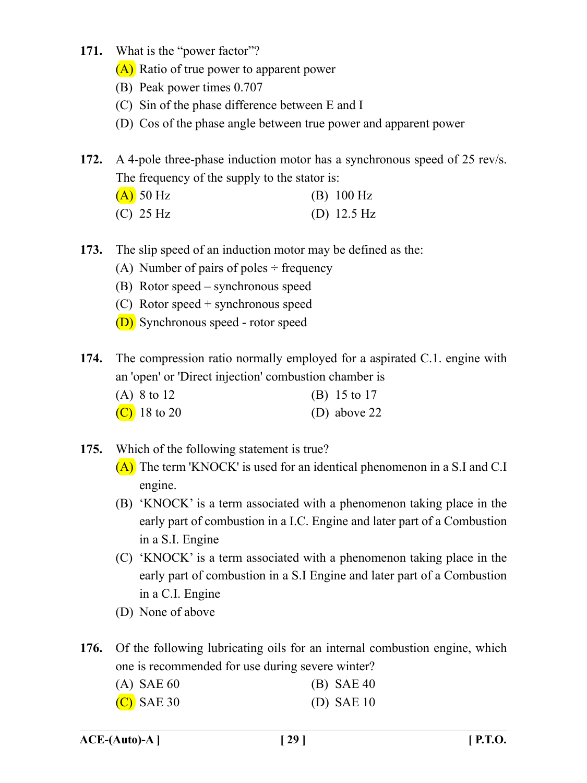- **171.** What is the "power factor"?
	- (A) Ratio of true power to apparent power
	- (B) Peak power times 0.707
	- (C) Sin of the phase difference between E and I
	- (D) Cos of the phase angle between true power and apparent power

**172.** A 4-pole three-phase induction motor has a synchronous speed of 25 rev/s. The frequency of the supply to the stator is:

| $(A)$ 50 Hz | $(B)$ 100 Hz          |
|-------------|-----------------------|
| $(C)$ 25 Hz | (D) $12.5 \text{ Hz}$ |

- **173.** The slip speed of an induction motor may be defined as the:
	- (A) Number of pairs of poles  $\div$  frequency
	- (B) Rotor speed synchronous speed
	- (C) Rotor speed + synchronous speed
	- (D) Synchronous speed rotor speed

**174.** The compression ratio normally employed for a aspirated C.1. engine with an 'open' or 'Direct injection' combustion chamber is

| (A) $8 \text{ to } 12$ | (B) $15 \text{ to } 17$ |
|------------------------|-------------------------|
| (C) 18 to 20           | (D) above $22$          |

- **175.** Which of the following statement is true?
	- (A) The term 'KNOCK' is used for an identical phenomenon in a S.I and C.I engine.
	- (B) 'KNOCK' is a term associated with a phenomenon taking place in the early part of combustion in a I.C. Engine and later part of a Combustion in a S.I. Engine
	- (C) 'KNOCK' is a term associated with a phenomenon taking place in the early part of combustion in a S.I Engine and later part of a Combustion in a C.I. Engine
	- (D) None of above

**176.** Of the following lubricating oils for an internal combustion engine, which one is recommended for use during severe winter?

| $(A)$ SAE 60 | $(B)$ SAE 40 |  |
|--------------|--------------|--|
| $(C)$ SAE 30 | (D) SAE $10$ |  |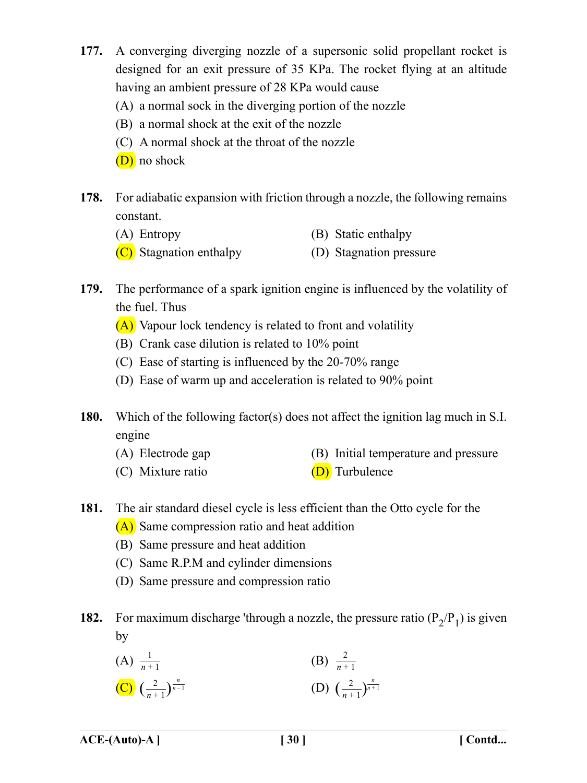- **177.** A converging diverging nozzle of a supersonic solid propellant rocket is designed for an exit pressure of 35 KPa. The rocket flying at an altitude having an ambient pressure of 28 KPa would cause
	- (A) a normal sock in the diverging portion of the nozzle
	- (B) a normal shock at the exit of the nozzle
	- (C) A normal shock at the throat of the nozzle
	- (D) no shock
- **178.** For adiabatic expansion with friction through a nozzle, the following remains constant.
	- (A) Entropy (B) Static enthalpy
	- (C) Stagnation enthalpy (D) Stagnation pressure
- **179.** The performance of a spark ignition engine is influenced by the volatility of the fuel. Thus
	- (A) Vapour lock tendency is related to front and volatility
	- (B) Crank case dilution is related to 10% point
	- (C) Ease of starting is influenced by the 20-70% range
	- (D) Ease of warm up and acceleration is related to 90% point
- **180.** Which of the following factor(s) does not affect the ignition lag much in S.I. engine
	- (A) Electrode gap (B) Initial temperature and pressure
	- (C) Mixture ratio (D) Turbulence
- **181.** The air standard diesel cycle is less efficient than the Otto cycle for the
	- (A) Same compression ratio and heat addition
	- (B) Same pressure and heat addition
	- (C) Same R.P.M and cylinder dimensions
	- (D) Same pressure and compression ratio
- **182.** For maximum discharge 'through a nozzle, the pressure ratio  $(P_2/P_1)$  is given by

(A) 
$$
\frac{1}{n+1}
$$
  
\n(B)  $\frac{2}{n+1}$   
\n(C)  $\left(\frac{2}{n+1}\right)^{\frac{n}{n-1}}$   
\n(D)  $\left(\frac{2}{n+1}\right)^{\frac{n}{n+1}}$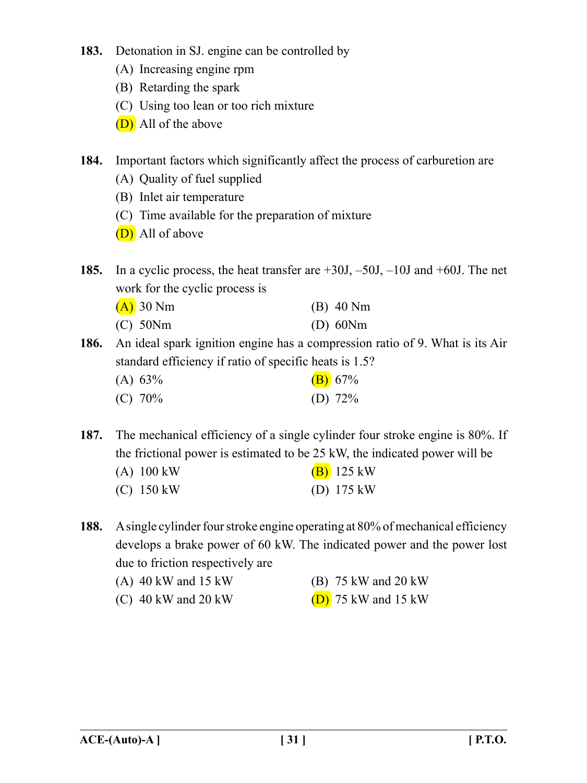- **183.** Detonation in SJ. engine can be controlled by
	- (A) Increasing engine rpm
	- (B) Retarding the spark
	- (C) Using too lean or too rich mixture
	- (D) All of the above
- **184.** Important factors which significantly affect the process of carburetion are
	- (A) Quality of fuel supplied
	- (B) Inlet air temperature
	- (C) Time available for the preparation of mixture
	- (D) All of above
- **185.** In a cyclic process, the heat transfer are +30J, –50J, –10J and +60J. The net work for the cyclic process is

| $(A)$ 30 Nm   | $(B)$ 40 Nm   |
|---------------|---------------|
| $(C)$ 50 $Nm$ | $(D)$ 60 $Nm$ |

**186.** An ideal spark ignition engine has a compression ratio of 9. What is its Air standard efficiency if ratio of specific heats is 1.5?

| (A) 63% | (B) 67%    |
|---------|------------|
| (C) 70% | (D) $72\%$ |

**187.** The mechanical efficiency of a single cylinder four stroke engine is 80%. If the frictional power is estimated to be 25 kW, the indicated power will be

| $(A)$ 100 kW | $(B)$ 125 kW         |
|--------------|----------------------|
| $(C)$ 150 kW | (D) $175 \text{ kW}$ |

**188.** A single cylinder four stroke engine operating at 80% of mechanical efficiency develops a brake power of 60 kW. The indicated power and the power lost due to friction respectively are

| $(A)$ 40 kW and 15 kW | (B) 75 kW and 20 kW   |
|-----------------------|-----------------------|
| $(C)$ 40 kW and 20 kW | $(D)$ 75 kW and 15 kW |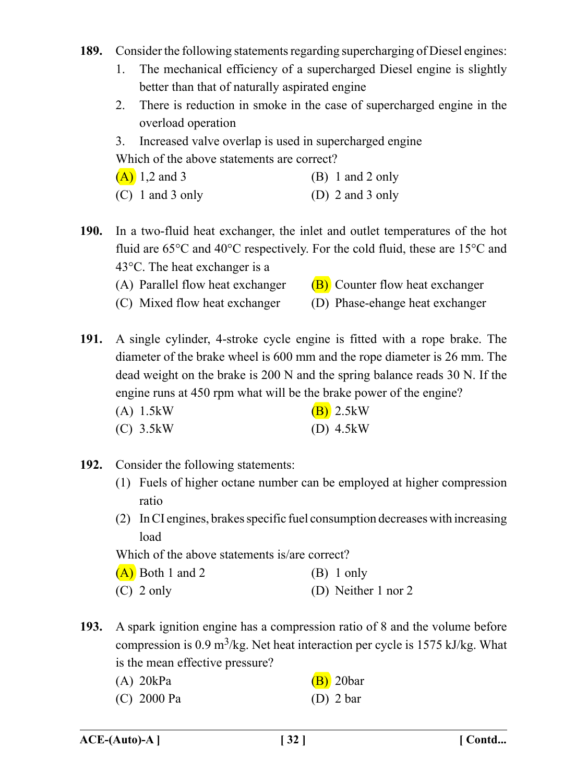- **189.** Consider the following statements regarding supercharging of Diesel engines:
	- 1. The mechanical efficiency of a supercharged Diesel engine is slightly better than that of naturally aspirated engine
	- 2. There is reduction in smoke in the case of supercharged engine in the overload operation
	- 3. Increased valve overlap is used in supercharged engine

Which of the above statements are correct?

| $(A)$ 1,2 and 3 | $(B)$ 1 and 2 only |
|-----------------|--------------------|
|                 |                    |

(C) 1 and 3 only (D) 2 and 3 only

**190.** In a two-fluid heat exchanger, the inlet and outlet temperatures of the hot fluid are 65°C and 40°C respectively. For the cold fluid, these are 15°C and 43°C. The heat exchanger is a

- (A) Parallel flow heat exchanger  $(B)$  Counter flow heat exchanger
- (C) Mixed flow heat exchanger (D) Phase-ehange heat exchanger

**191.** A single cylinder, 4-stroke cycle engine is fitted with a rope brake. The diameter of the brake wheel is 600 mm and the rope diameter is 26 mm. The dead weight on the brake is 200 N and the spring balance reads 30 N. If the engine runs at 450 rpm what will be the brake power of the engine?

| $(A)$ 1.5 kW | $(B)$ 2.5 kW        |
|--------------|---------------------|
| $(C)$ 3.5 kW | (D) $4.5 \text{kW}$ |

- **192.** Consider the following statements:
	- (1) Fuels of higher octane number can be employed at higher compression ratio
	- (2) In CI engines, brakes specific fuel consumption decreases with increasing load

Which of the above statements is/are correct?

|  | $(A)$ Both 1 and 2 | $(B)$ 1 only |
|--|--------------------|--------------|
|--|--------------------|--------------|

- (C) 2 only (D) Neither 1 nor 2
- **193.** A spark ignition engine has a compression ratio of 8 and the volume before compression is 0.9 m<sup>3</sup>/kg. Net heat interaction per cycle is 1575 kJ/kg. What is the mean effective pressure?

| $(A)$ 20 $kPa$ | $(B)$ 20bar |
|----------------|-------------|
| $(C)$ 2000 Pa  | $(D)$ 2 bar |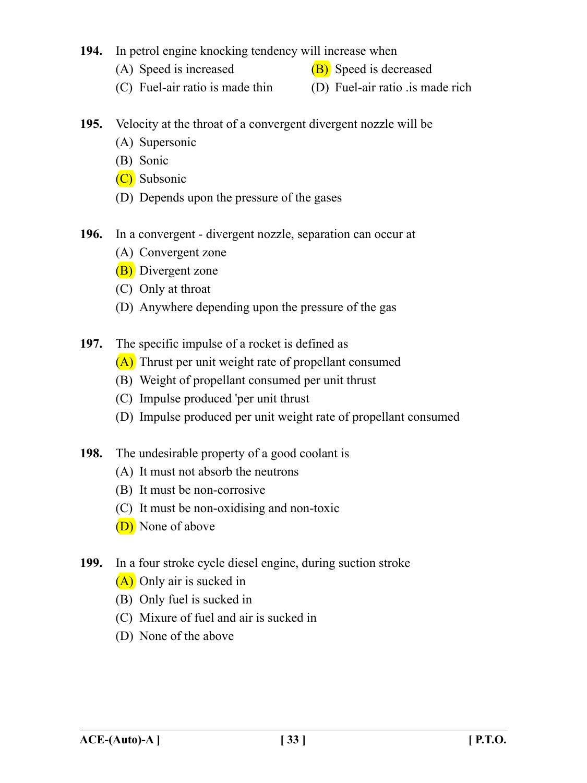## **194.** In petrol engine knocking tendency will increase when

- (A) Speed is increased  $(B)$  Speed is decreased
- 
- (C) Fuel-air ratio is made thin (D) Fuel-air ratio .is made rich
- **195.** Velocity at the throat of a convergent divergent nozzle will be
	- (A) Supersonic
	- (B) Sonic
	- (C) Subsonic
	- (D) Depends upon the pressure of the gases
- **196.** In a convergent divergent nozzle, separation can occur at
	- (A) Convergent zone
	- (B) Divergent zone
	- (C) Only at throat
	- (D) Anywhere depending upon the pressure of the gas
- **197.** The specific impulse of a rocket is defined as
	- (A) Thrust per unit weight rate of propellant consumed
	- (B) Weight of propellant consumed per unit thrust
	- (C) Impulse produced 'per unit thrust
	- (D) Impulse produced per unit weight rate of propellant consumed
- **198.** The undesirable property of a good coolant is
	- (A) It must not absorb the neutrons
	- (B) It must be non-corrosive
	- (C) It must be non-oxidising and non-toxic
	- (D) None of above
- **199.** In a four stroke cycle diesel engine, during suction stroke
	- (A) Only air is sucked in
	- (B) Only fuel is sucked in
	- (C) Mixure of fuel and air is sucked in
	- (D) None of the above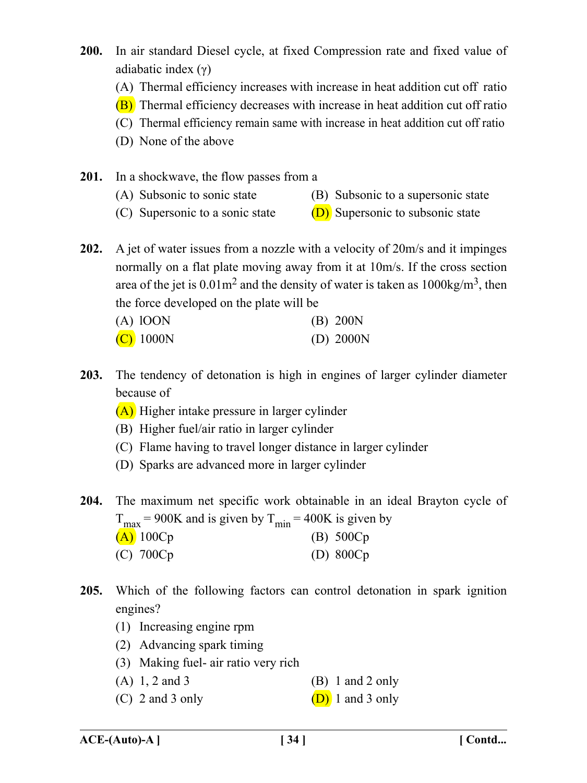- **200.** In air standard Diesel cycle, at fixed Compression rate and fixed value of adiabatic index (γ)
	- (A) Thermal efficiency increases with increase in heat addition cut off ratio
	- (B) Thermal efficiency decreases with increase in heat addition cut off ratio
	- (C) Thermal efficiency remain same with increase in heat addition cut off ratio
	- (D) None of the above
- **201.** In a shockwave, the flow passes from a
	- (A) Subsonic to sonic state (B) Subsonic to a supersonic state
	- (C) Supersonic to a sonic state  $(D)$  Supersonic to subsonic state

**202.** A jet of water issues from a nozzle with a velocity of 20m/s and it impinges normally on a flat plate moving away from it at 10m/s. If the cross section area of the jet is  $0.01 \text{m}^2$  and the density of water is taken as  $1000 \text{kg/m}^3$ , then the force developed on the plate will be

| $(A)$ lOON  | $(B)$ 200N  |
|-------------|-------------|
| $(C)$ 1000N | (D) $2000N$ |

- **203.** The tendency of detonation is high in engines of larger cylinder diameter because of
	- (A) Higher intake pressure in larger cylinder
	- (B) Higher fuel/air ratio in larger cylinder
	- (C) Flame having to travel longer distance in larger cylinder
	- (D) Sparks are advanced more in larger cylinder
- **204.** The maximum net specific work obtainable in an ideal Brayton cycle of  $T_{\text{max}}$  = 900K and is given by  $T_{\text{min}}$  = 400K is given by (A)  $100Cp$  (B)  $500Cp$ 
	- (C) 700Cp (D) 800Cp
- **205.** Which of the following factors can control detonation in spark ignition engines?
	- (1) Increasing engine rpm
	- (2) Advancing spark timing
	- (3) Making fuel- air ratio very rich
	- (A)  $1, 2$  and  $3$  (B)  $1$  and  $2$  only
	- (C) 2 and 3 only  $(D)$  1 and 3 only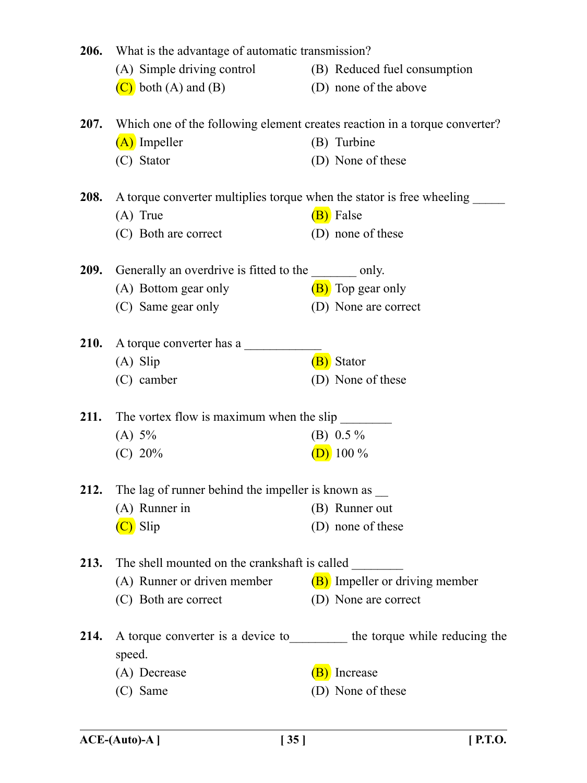| <b>206.</b> | What is the advantage of automatic transmission?                                      |  |                                |
|-------------|---------------------------------------------------------------------------------------|--|--------------------------------|
|             | (A) Simple driving control (B) Reduced fuel consumption                               |  |                                |
|             | $(C)$ both $(A)$ and $(B)$                                                            |  | (D) none of the above          |
| 207.        | Which one of the following element creates reaction in a torque converter?            |  |                                |
|             | (A) Impeller                                                                          |  | (B) Turbine                    |
|             | (C) Stator                                                                            |  | (D) None of these              |
| <b>208.</b> | A torque converter multiplies torque when the stator is free wheeling                 |  |                                |
|             | $(A)$ True                                                                            |  | (B) False                      |
|             | (C) Both are correct                                                                  |  | (D) none of these              |
| <b>209.</b> | Generally an overdrive is fitted to the _________ only.                               |  |                                |
|             | (A) Bottom gear only                                                                  |  | (B) Top gear only              |
|             | (C) Same gear only                                                                    |  | (D) None are correct           |
| <b>210.</b> | A torque converter has a                                                              |  |                                |
|             | $(A)$ Slip                                                                            |  | (B) Stator                     |
|             | (C) camber                                                                            |  | (D) None of these              |
| 211.        | The vortex flow is maximum when the slip                                              |  |                                |
|             | (A) 5%                                                                                |  | (B) $0.5\%$                    |
|             | (C) 20%                                                                               |  | $(D)$ 100 %                    |
|             | 212. The lag of runner behind the impeller is known as _____                          |  |                                |
|             | $(A)$ Runner in                                                                       |  | (B) Runner out                 |
|             | (C) Slip                                                                              |  | (D) none of these              |
| 213.        | The shell mounted on the crankshaft is called                                         |  |                                |
|             | (A) Runner or driven member                                                           |  | (B) Impeller or driving member |
|             | (C) Both are correct                                                                  |  | (D) None are correct           |
| 214.        | A torque converter is a device to ___________ the torque while reducing the<br>speed. |  |                                |
|             | (A) Decrease                                                                          |  | (B) Increase                   |
|             | (C) Same                                                                              |  | (D) None of these              |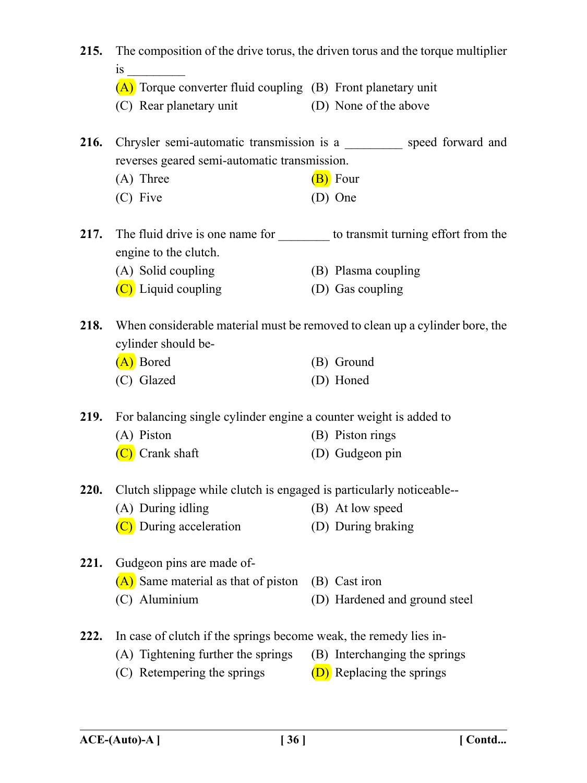| 215.        | The composition of the drive torus, the driven torus and the torque multiplier  |  |                               |  |
|-------------|---------------------------------------------------------------------------------|--|-------------------------------|--|
|             | $\overline{1}S$                                                                 |  |                               |  |
|             | (A) Torque converter fluid coupling (B) Front planetary unit                    |  |                               |  |
|             | (C) Rear planetary unit                                                         |  | (D) None of the above         |  |
|             | 216. Chrysler semi-automatic transmission is a __________ speed forward and     |  |                               |  |
|             | reverses geared semi-automatic transmission.                                    |  |                               |  |
|             | $(A)$ Three                                                                     |  | $(B)$ Four                    |  |
|             | (C) Five                                                                        |  | (D) One                       |  |
| 217.        | The fluid drive is one name for ___________ to transmit turning effort from the |  |                               |  |
|             | engine to the clutch.                                                           |  |                               |  |
|             | (A) Solid coupling                                                              |  | (B) Plasma coupling           |  |
|             | $(C)$ Liquid coupling                                                           |  | (D) Gas coupling              |  |
| 218.        | When considerable material must be removed to clean up a cylinder bore, the     |  |                               |  |
|             | cylinder should be-                                                             |  |                               |  |
|             | (A) Bored                                                                       |  | (B) Ground                    |  |
|             | (C) Glazed                                                                      |  | (D) Honed                     |  |
| <b>219.</b> | For balancing single cylinder engine a counter weight is added to               |  |                               |  |
|             | (A) Piston                                                                      |  | (B) Piston rings              |  |
|             | (C) Crank shaft                                                                 |  | (D) Gudgeon pin               |  |
| 220.        | Clutch slippage while clutch is engaged is particularly noticeable--            |  |                               |  |
|             | (A) During idling                                                               |  | (B) At low speed              |  |
|             | (C) During acceleration                                                         |  | (D) During braking            |  |
| 221.        | Gudgeon pins are made of-                                                       |  |                               |  |
|             | (A) Same material as that of piston                                             |  | (B) Cast iron                 |  |
|             | (C) Aluminium                                                                   |  | (D) Hardened and ground steel |  |
| 222.        | In case of clutch if the springs become weak, the remedy lies in-               |  |                               |  |
|             | (A) Tightening further the springs                                              |  | (B) Interchanging the springs |  |
|             | (C) Retempering the springs                                                     |  | (D) Replacing the springs     |  |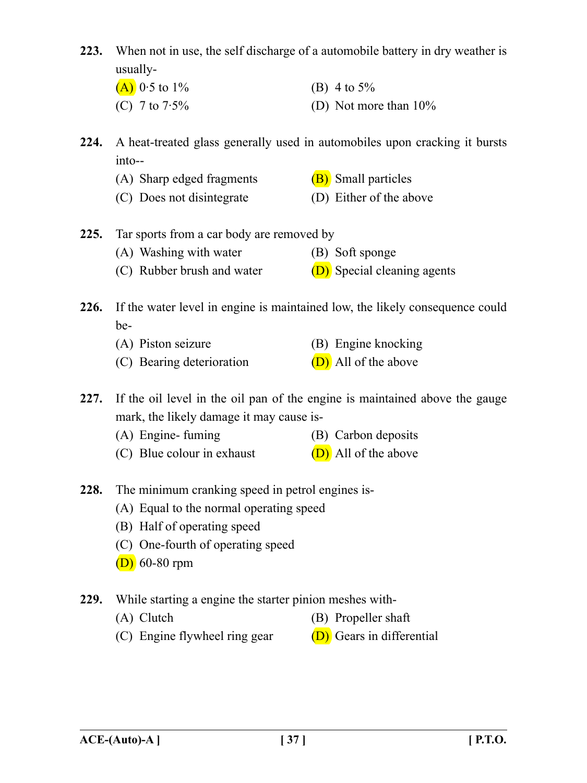- **223.** When not in use, the self discharge of a automobile battery in dry weather is usually-
	- (A)  $0.5$  to  $1\%$  (B) 4 to  $5\%$ (C)  $7 \text{ to } 7.5\%$  (D) Not more than  $10\%$
- **224.** A heat-treated glass generally used in automobiles upon cracking it bursts into--
	- (A) Sharp edged fragments  $(B)$  Small particles
	- (C) Does not disintegrate (D) Either of the above
- **225.** Tar sports from a car body are removed by
	- (A) Washing with water (B) Soft sponge
	- (C) Rubber brush and water  $(D)$  Special cleaning agents

**226.** If the water level in engine is maintained low, the likely consequence could be-

- (A) Piston seizure (B) Engine knocking
- (C) Bearing deterioration  $(D)$  All of the above

**227.** If the oil level in the oil pan of the engine is maintained above the gauge mark, the likely damage it may cause is-

- (A) Engine- fuming (B) Carbon deposits
- (C) Blue colour in exhaust  $(D)$  All of the above
- **228.** The minimum cranking speed in petrol engines is-
	- (A) Equal to the normal operating speed
	- (B) Half of operating speed
	- (C) One-fourth of operating speed
	- $(D)$  60-80 rpm
- **229.** While starting a engine the starter pinion meshes with-
	- (A) Clutch (B) Propeller shaft
	- (C) Engine flywheel ring gear  $(D)$  Gears in differential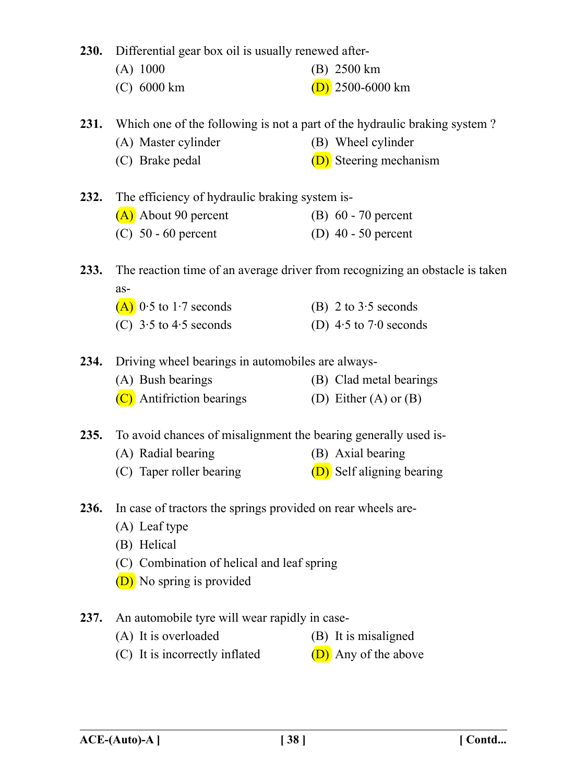**230.** Differential gear box oil is usually renewed after-

- (A) 1000 (B) 2500 km
- (C)  $6000 \text{ km}$  (D)  $2500-6000 \text{ km}$

**231.** Which one of the following is not a part of the hydraulic braking system ?

- (A) Master cylinder (B) Wheel cylinder
- (C) Brake pedal  $(D)$  Steering mechanism

**232.** The efficiency of hydraulic braking system is-

| (A) About 90 percent | (B) $60 - 70$ percent |
|----------------------|-----------------------|
|----------------------|-----------------------|

(C)  $50 - 60$  percent (D)  $40 - 50$  percent

**233.** The reaction time of an average driver from recognizing an obstacle is taken as-

| $(A)$ 0.5 to 1.7 seconds   | (B) 2 to $3.5$ seconds     |
|----------------------------|----------------------------|
| (C) $3.5$ to $4.5$ seconds | (D) $4.5$ to $7.0$ seconds |

**234.** Driving wheel bearings in automobiles are always-

| (A) Bush bearings         | (B) Clad metal bearings |
|---------------------------|-------------------------|
| (C) Antifriction bearings | (D) Either (A) or $(B)$ |

**235.** To avoid chances of misalignment the bearing generally used is-

- (A) Radial bearing (B) Axial bearing
- (C) Taper roller bearing  $(D)$  Self aligning bearing
- **236.** In case of tractors the springs provided on rear wheels are-
	- (A) Leaf type
	- (B) Helical
	- (C) Combination of helical and leaf spring
	- (D) No spring is provided

## **237.** An automobile tyre will wear rapidly in case-

- (A) It is overloaded (B) It is misaligned
- (C) It is incorrectly inflated  $(D)$  Any of the above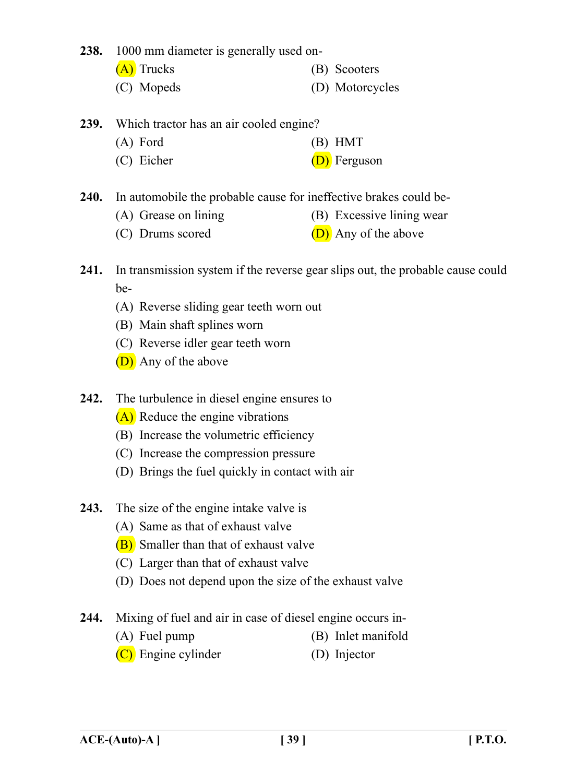**238.** 1000 mm diameter is generally used on-

- (A) Trucks (B) Scooters
- (C) Mopeds (D) Motorcycles

## **239.** Which tractor has an air cooled engine?

- (A) Ford (B) HMT
- (C) Eicher (D) Ferguson

**240.** In automobile the probable cause for ineffective brakes could be-

- (A) Grease on lining (B) Excessive lining wear
- (C) Drums scored  $(D)$  Any of the above
- **241.** In transmission system if the reverse gear slips out, the probable cause could be-
	- (A) Reverse sliding gear teeth worn out
	- (B) Main shaft splines worn
	- (C) Reverse idler gear teeth worn
	- (D) Any of the above
- **242.** The turbulence in diesel engine ensures to
	- (A) Reduce the engine vibrations
	- (B) Increase the volumetric efficiency
	- (C) Increase the compression pressure
	- (D) Brings the fuel quickly in contact with air
- **243.** The size of the engine intake valve is
	- (A) Same as that of exhaust valve
	- (B) Smaller than that of exhaust valve
	- (C) Larger than that of exhaust valve
	- (D) Does not depend upon the size of the exhaust valve
- **244.** Mixing of fuel and air in case of diesel engine occurs in-
	- (A) Fuel pump (B) Inlet manifold
	- (C) Engine cylinder (D) Injector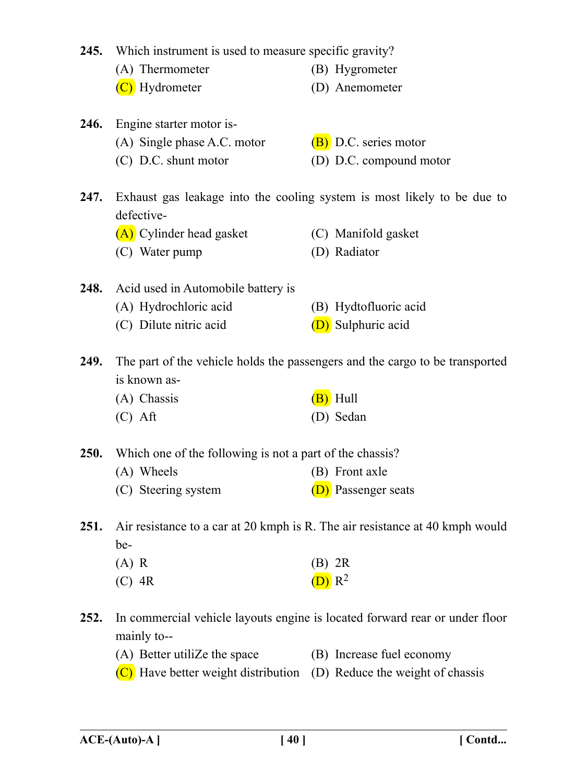|             | 245. Which instrument is used to measure specific gravity?                                   |                                                                             |  |
|-------------|----------------------------------------------------------------------------------------------|-----------------------------------------------------------------------------|--|
|             | (A) Thermometer                                                                              | (B) Hygrometer                                                              |  |
|             | (C) Hydrometer                                                                               | (D) Anemometer                                                              |  |
| 246.        | Engine starter motor is-                                                                     |                                                                             |  |
|             | (A) Single phase A.C. motor                                                                  | (B) D.C. series motor                                                       |  |
|             | (C) D.C. shunt motor                                                                         | (D) D.C. compound motor                                                     |  |
| 247.        | Exhaust gas leakage into the cooling system is most likely to be due to<br>defective-        |                                                                             |  |
|             | (A) Cylinder head gasket                                                                     | (C) Manifold gasket                                                         |  |
|             | (C) Water pump                                                                               | (D) Radiator                                                                |  |
| 248.        | Acid used in Automobile battery is                                                           |                                                                             |  |
|             | (A) Hydrochloric acid                                                                        | (B) Hydtofluoric acid                                                       |  |
|             | (C) Dilute nitric acid                                                                       | (D) Sulphuric acid                                                          |  |
| 249.        | The part of the vehicle holds the passengers and the cargo to be transported<br>is known as- |                                                                             |  |
|             | (A) Chassis                                                                                  | (B) Hull                                                                    |  |
|             | $(C)$ Aft                                                                                    | (D) Sedan                                                                   |  |
| <b>250.</b> | Which one of the following is not a part of the chassis?                                     |                                                                             |  |
|             | (A) Wheels                                                                                   | (B) Front axle                                                              |  |
|             | (C) Steering system                                                                          | (D) Passenger seats                                                         |  |
| 251.        | Air resistance to a car at 20 kmph is R. The air resistance at 40 kmph would<br>be-          |                                                                             |  |
|             | $(A)$ R                                                                                      | $(B)$ 2R                                                                    |  |
|             | $(C)$ 4R                                                                                     | $(D)$ R <sup>2</sup>                                                        |  |
| 252.        | mainly to--                                                                                  | In commercial vehicle layouts engine is located forward rear or under floor |  |
|             | (A) Better utilize the space                                                                 | (B) Increase fuel economy                                                   |  |
|             | $(C)$ Have better weight distribution (D) Reduce the weight of chassis                       |                                                                             |  |
|             |                                                                                              |                                                                             |  |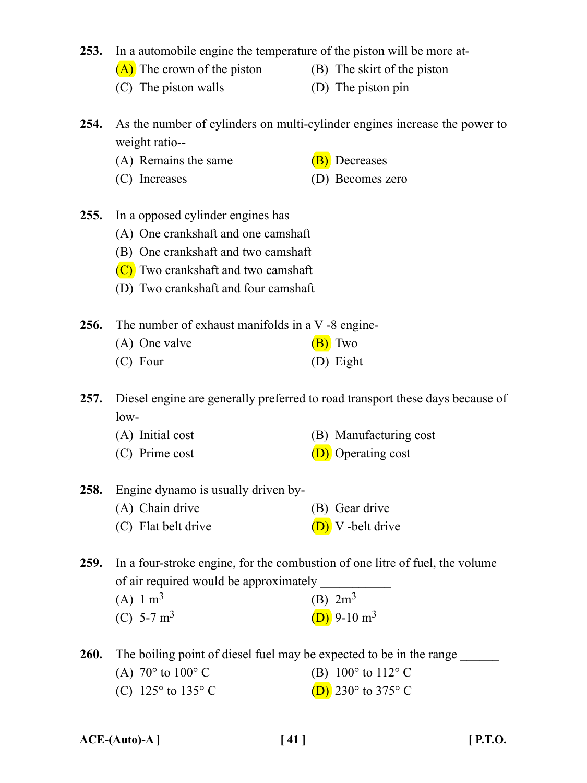**253.** In a automobile engine the temperature of the piston will be more at-

- $(A)$  The crown of the piston (B) The skirt of the piston
- 
- (C) The piston walls (D) The piston pin
	-

**254.** As the number of cylinders on multi-cylinder engines increase the power to weight ratio--

- (A) Remains the same  $(B)$  Decreases
- 
- (C) Increases (D) Becomes zero
- **255.** In a opposed cylinder engines has
	- (A) One crankshaft and one camshaft
	- (B) One crankshaft and two camshaft
	- (C) Two crankshaft and two camshaft
	- (D) Two crankshaft and four camshaft
- **256.** The number of exhaust manifolds in a V -8 engine-

| (A) One valve | (B) Two   |
|---------------|-----------|
| $(C)$ Four    | (D) Eight |

**257.** Diesel engine are generally preferred to road transport these days because of low-

- (A) Initial cost (B) Manufacturing cost
- (C) Prime cost  $(D)$  Operating cost
- **258.** Engine dynamo is usually driven by- (A) Chain drive (B) Gear drive
	- (C) Flat belt drive  $(D)$  V -belt drive

**259.** In a four-stroke engine, for the combustion of one litre of fuel, the volume of air required would be approximately

| (A) $1 \text{ m}^3$  | (B) $2m^3$                |
|----------------------|---------------------------|
| (C) 5-7 $\text{m}^3$ | $(D)$ 9-10 m <sup>3</sup> |

**260.** The boiling point of diesel fuel may be expected to be in the range

- (A)  $70^{\circ}$  to  $100^{\circ}$  C (B)  $100^{\circ}$  to  $112^{\circ}$  C
- (C)  $125^{\circ}$  to  $135^{\circ}$  C (D)  $230^{\circ}$  to  $375^{\circ}$  C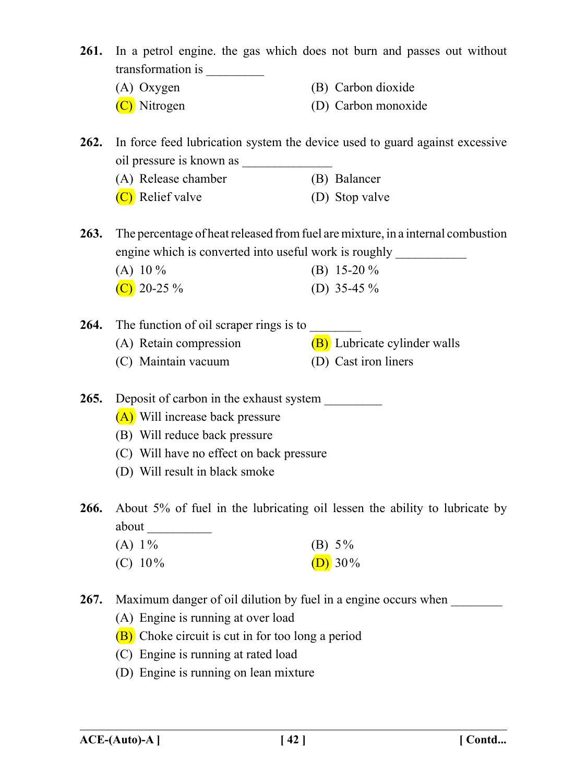**261.** In a petrol engine. the gas which does not burn and passes out without transformation is \_\_\_\_\_\_\_\_\_

- (A) Oxygen (B) Carbon dioxide
- (C) Nitrogen (D) Carbon monoxide
- **262.** In force feed lubrication system the device used to guard against excessive oil pressure is known as \_\_\_\_\_\_\_\_\_\_\_\_\_\_
	- (A) Release chamber (B) Balancer
	- (C) Relief valve (D) Stop valve

**263.** The percentage of heat released from fuel are mixture, in a internal combustion engine which is converted into useful work is roughly

| (A) 10 $\%$    | (B) 15-20 $\%$ |
|----------------|----------------|
| (C) 20-25 $\%$ | (D) 35-45 $\%$ |

- **264.** The function of oil scraper rings is to (A) Retain compression  $(B)$  Lubricate cylinder walls
	- (C) Maintain vacuum (D) Cast iron liners

**265.** Deposit of carbon in the exhaust system \_\_\_\_\_\_\_\_\_

- (A) Will increase back pressure
- (B) Will reduce back pressure
- (C) Will have no effect on back pressure
- (D) Will result in black smoke

**266.** About 5% of fuel in the lubricating oil lessen the ability to lubricate by about  $\Box$ 

| $(A) 1\%$  | (B) $5\%$  |
|------------|------------|
| $(C) 10\%$ | (D) $30\%$ |

- **267.** Maximum danger of oil dilution by fuel in a engine occurs when \_\_\_\_\_\_\_\_
	- (A) Engine is running at over load
	- (B) Choke circuit is cut in for too long a period
	- (C) Engine is running at rated load
	- (D) Engine is running on lean mixture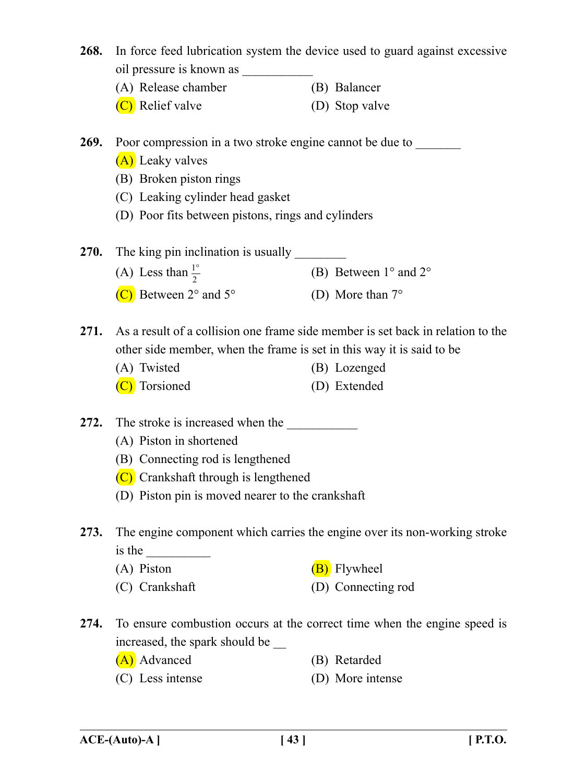- **268.** In force feed lubrication system the device used to guard against excessive oil pressure is known as (A) Release chamber (B) Balancer (C) Relief valve (D) Stop valve **269.** Poor compression in a two stroke engine cannot be due to (A) Leaky valves (B) Broken piston rings (C) Leaking cylinder head gasket (D) Poor fits between pistons, rings and cylinders **270.** The king pin inclination is usually (A) Less than  $\frac{1}{2}$ (B) Between  $1^{\circ}$  and  $2^{\circ}$ (C) Between  $2^{\circ}$  and  $5^{\circ}$  (D) More than  $7^{\circ}$ **271.** As a result of a collision one frame side member is set back in relation to the other side member, when the frame is set in this way it is said to be (A) Twisted (B) Lozenged (C) Torsioned (D) Extended 272. The stroke is increased when the (A) Piston in shortened
	- (B) Connecting rod is lengthened
	- (C) Crankshaft through is lengthened
	- (D) Piston pin is moved nearer to the crankshaft
- **273.** The engine component which carries the engine over its non-working stroke is the
	- (A) Piston  $(B)$  Flywheel
		-
	- (C) Crankshaft (D) Connecting rod
- **274.** To ensure combustion occurs at the correct time when the engine speed is increased, the spark should be \_\_
	- (A) Advanced (B) Retarded
	- (C) Less intense (D) More intense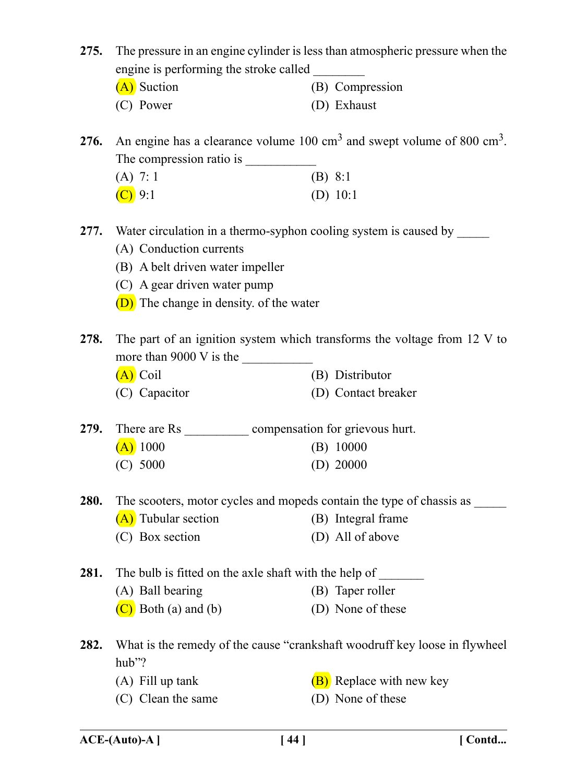**275.** The pressure in an engine cylinder is less than atmospheric pressure when the engine is performing the stroke called

| (A) Suction | (B) Compression |
|-------------|-----------------|
| (C) Power   | (D) Exhaust     |

276. An engine has a clearance volume 100 cm<sup>3</sup> and swept volume of 800 cm<sup>3</sup>. The compression ratio is

| $(A)$ 7: 1 | $(B)$ 8:1  |
|------------|------------|
| $(C)$ 9:1  | (D) $10:1$ |

277. Water circulation in a thermo-syphon cooling system is caused by

- (A) Conduction currents
- (B) A belt driven water impeller
- (C) A gear driven water pump
- (D) The change in density. of the water
- **278.** The part of an ignition system which transforms the voltage from 12 V to more than  $9000 \text{ V}$  is the
	- (A) Coil (B) Distributor
	- (C) Capacitor (D) Contact breaker
- 279. There are Rs compensation for grievous hurt.  $(A)$  1000 (B) 10000 (C) 5000 (D) 20000
- **280.** The scooters, motor cycles and mopeds contain the type of chassis as
	- $(A)$  Tubular section (B) Integral frame
	- (C) Box section (D) All of above

**281.** The bulb is fitted on the axle shaft with the help of

- (A) Ball bearing (B) Taper roller
	- $(C)$  Both (a) and (b) (D) None of these
- **282.** What is the remedy of the cause "crankshaft woodruff key loose in flywheel hub"?
	-
	- (C) Clean the same (D) None of these
	- (A) Fill up tank  $(B)$  Replace with new key
		-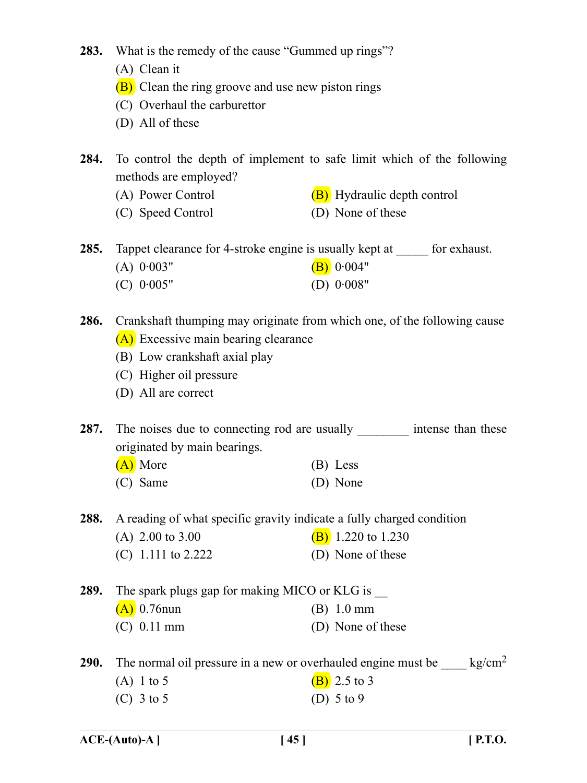- **283.** What is the remedy of the cause "Gummed up rings"?
	- (A) Clean it
	- (B) Clean the ring groove and use new piston rings
	- (C) Overhaul the carburettor
	- (D) All of these
- **284.** To control the depth of implement to safe limit which of the following methods are employed?
	- (A) Power Control  $(B)$  Hydraulic depth control
	- (C) Speed Control (D) None of these
- **285.** Tappet clearance for 4-stroke engine is usually kept at \_\_\_\_\_ for exhaust. (A)  $0.003"$  (B)  $0.004"$ 
	- (C) 0·005" (D) 0·008"
- **286.** Crankshaft thumping may originate from which one, of the following cause (A) Excessive main bearing clearance
	- (B) Low crankshaft axial play
	- (C) Higher oil pressure
	- (D) All are correct

**287.** The noises due to connecting rod are usually intense than these originated by main bearings.

| (A) More | (B) Less |
|----------|----------|
| (C) Same | (D) None |

**288.** A reading of what specific gravity indicate a fully charged condition

- (A) 2.00 to 3.00 (B) 1.220 to 1.230
- $(C)$  1.111 to 2.222  $(D)$  None of these
- **289.** The spark plugs gap for making MICO or KLG is \_\_ (A) 0.76nun (B) 1.0 mm (C) 0.11 mm (D) None of these
- **290.** The normal oil pressure in a new or overhauled engine must be  $\frac{kg/cm^2}{kg}$ (A) 1 to 5 (B) 2.5 to 3 (C)  $3 \text{ to } 5$  (D)  $5 \text{ to } 9$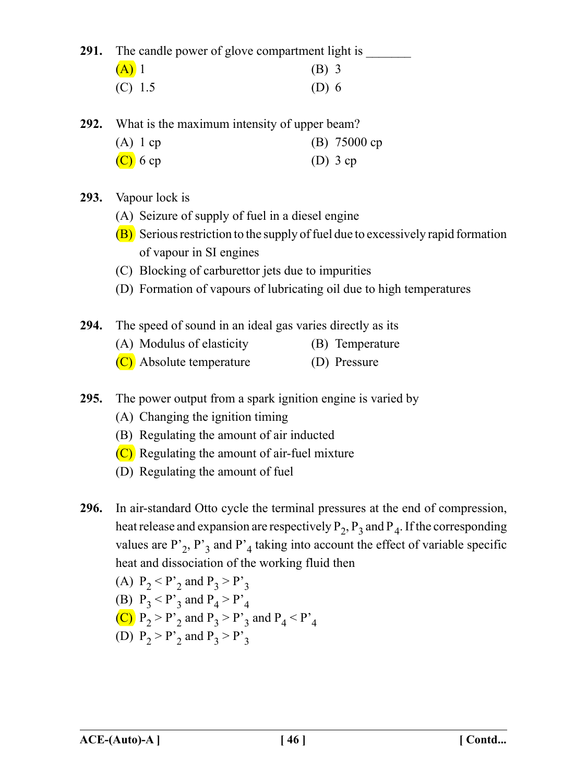**291.** The candle power of glove compartment light is

| $(A)$ 1   | $(B)$ 3 |
|-----------|---------|
| $(C)$ 1.5 | $(D)$ 6 |

**292.** What is the maximum intensity of upper beam?

| $(A)$ 1 cp | (B) $75000 cp$ |
|------------|----------------|
| $(C)$ 6 cp | $(D)$ 3 cp     |

## **293.** Vapour lock is

- (A) Seizure of supply of fuel in a diesel engine
- (B) Serious restriction to the supply of fuel due to excessively rapid formation of vapour in SI engines
- (C) Blocking of carburettor jets due to impurities
- (D) Formation of vapours of lubricating oil due to high temperatures
- **294.** The speed of sound in an ideal gas varies directly as its
	- (A) Modulus of elasticity (B) Temperature
	- (C) Absolute temperature (D) Pressure
- **295.** The power output from a spark ignition engine is varied by
	- (A) Changing the ignition timing
	- (B) Regulating the amount of air inducted
	- (C) Regulating the amount of air-fuel mixture
	- (D) Regulating the amount of fuel
- **296.** In air-standard Otto cycle the terminal pressures at the end of compression, heat release and expansion are respectively  $P_2$ ,  $P_3$  and  $P_4$ . If the corresponding values are  $P_2$ ,  $P_3$  and  $P_4$  taking into account the effect of variable specific heat and dissociation of the working fluid then

(A) 
$$
P_2 < P'_2
$$
 and  $P_3 > P'_3$   
\n(B)  $P_3 < P'_3$  and  $P_4 > P'_4$   
\n(C)  $P_2 > P'_2$  and  $P_3 > P'_3$  and  $P_4 < P'_4$   
\n(D)  $P_2 > P'_2$  and  $P_3 > P'_3$